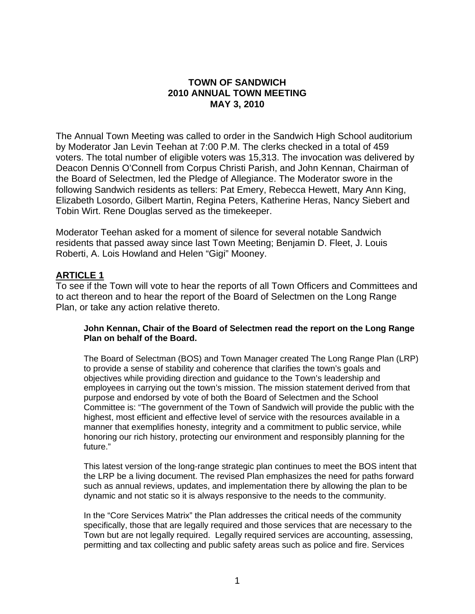#### **TOWN OF SANDWICH 2010 ANNUAL TOWN MEETING MAY 3, 2010**

The Annual Town Meeting was called to order in the Sandwich High School auditorium by Moderator Jan Levin Teehan at 7:00 P.M. The clerks checked in a total of 459 voters. The total number of eligible voters was 15,313. The invocation was delivered by Deacon Dennis O'Connell from Corpus Christi Parish, and John Kennan, Chairman of the Board of Selectmen, led the Pledge of Allegiance. The Moderator swore in the following Sandwich residents as tellers: Pat Emery, Rebecca Hewett, Mary Ann King, Elizabeth Losordo, Gilbert Martin, Regina Peters, Katherine Heras, Nancy Siebert and Tobin Wirt. Rene Douglas served as the timekeeper.

Moderator Teehan asked for a moment of silence for several notable Sandwich residents that passed away since last Town Meeting; Benjamin D. Fleet, J. Louis Roberti, A. Lois Howland and Helen "Gigi" Mooney.

#### **ARTICLE 1**

To see if the Town will vote to hear the reports of all Town Officers and Committees and to act thereon and to hear the report of the Board of Selectmen on the Long Range Plan, or take any action relative thereto.

#### **John Kennan, Chair of the Board of Selectmen read the report on the Long Range Plan on behalf of the Board.**

The Board of Selectman (BOS) and Town Manager created The Long Range Plan (LRP) to provide a sense of stability and coherence that clarifies the town's goals and objectives while providing direction and guidance to the Town's leadership and employees in carrying out the town's mission. The mission statement derived from that purpose and endorsed by vote of both the Board of Selectmen and the School Committee is: "The government of the Town of Sandwich will provide the public with the highest, most efficient and effective level of service with the resources available in a manner that exemplifies honesty, integrity and a commitment to public service, while honoring our rich history, protecting our environment and responsibly planning for the future."

This latest version of the long-range strategic plan continues to meet the BOS intent that the LRP be a living document. The revised Plan emphasizes the need for paths forward such as annual reviews, updates, and implementation there by allowing the plan to be dynamic and not static so it is always responsive to the needs to the community.

In the "Core Services Matrix" the Plan addresses the critical needs of the community specifically, those that are legally required and those services that are necessary to the Town but are not legally required. Legally required services are accounting, assessing, permitting and tax collecting and public safety areas such as police and fire. Services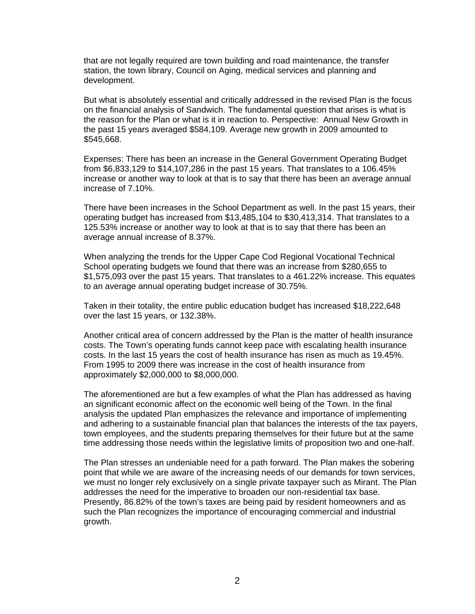that are not legally required are town building and road maintenance, the transfer station, the town library, Council on Aging, medical services and planning and development.

But what is absolutely essential and critically addressed in the revised Plan is the focus on the financial analysis of Sandwich. The fundamental question that arises is what is the reason for the Plan or what is it in reaction to. Perspective: Annual New Growth in the past 15 years averaged \$584,109. Average new growth in 2009 amounted to \$545,668.

Expenses: There has been an increase in the General Government Operating Budget from \$6,833,129 to \$14,107,286 in the past 15 years. That translates to a 106.45% increase or another way to look at that is to say that there has been an average annual increase of 7.10%.

There have been increases in the School Department as well. In the past 15 years, their operating budget has increased from \$13,485,104 to \$30,413,314. That translates to a 125.53% increase or another way to look at that is to say that there has been an average annual increase of 8.37%.

When analyzing the trends for the Upper Cape Cod Regional Vocational Technical School operating budgets we found that there was an increase from \$280,655 to \$1,575,093 over the past 15 years. That translates to a 461.22% increase. This equates to an average annual operating budget increase of 30.75%.

Taken in their totality, the entire public education budget has increased \$18,222,648 over the last 15 years, or 132.38%.

Another critical area of concern addressed by the Plan is the matter of health insurance costs. The Town's operating funds cannot keep pace with escalating health insurance costs. In the last 15 years the cost of health insurance has risen as much as 19.45%. From 1995 to 2009 there was increase in the cost of health insurance from approximately \$2,000,000 to \$8,000,000.

The aforementioned are but a few examples of what the Plan has addressed as having an significant economic affect on the economic well being of the Town. In the final analysis the updated Plan emphasizes the relevance and importance of implementing and adhering to a sustainable financial plan that balances the interests of the tax payers, town employees, and the students preparing themselves for their future but at the same time addressing those needs within the legislative limits of proposition two and one-half.

The Plan stresses an undeniable need for a path forward. The Plan makes the sobering point that while we are aware of the increasing needs of our demands for town services, we must no longer rely exclusively on a single private taxpayer such as Mirant. The Plan addresses the need for the imperative to broaden our non-residential tax base. Presently, 86.82% of the town's taxes are being paid by resident homeowners and as such the Plan recognizes the importance of encouraging commercial and industrial growth.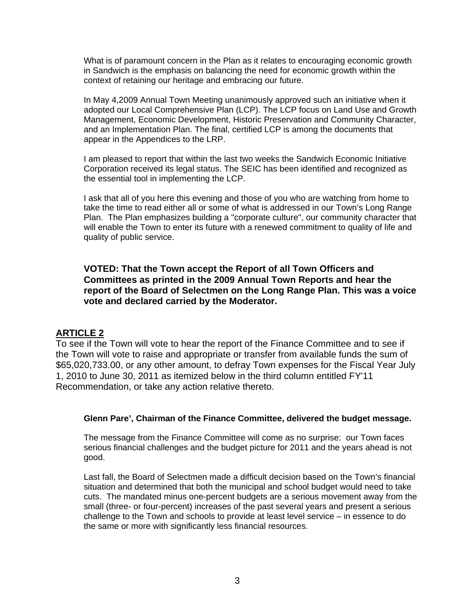What is of paramount concern in the Plan as it relates to encouraging economic growth in Sandwich is the emphasis on balancing the need for economic growth within the context of retaining our heritage and embracing our future.

In May 4,2009 Annual Town Meeting unanimously approved such an initiative when it adopted our Local Comprehensive Plan (LCP). The LCP focus on Land Use and Growth Management, Economic Development, Historic Preservation and Community Character, and an Implementation Plan. The final, certified LCP is among the documents that appear in the Appendices to the LRP.

I am pleased to report that within the last two weeks the Sandwich Economic Initiative Corporation received its legal status. The SEIC has been identified and recognized as the essential tool in implementing the LCP.

I ask that all of you here this evening and those of you who are watching from home to take the time to read either all or some of what is addressed in our Town's Long Range Plan. The Plan emphasizes building a "corporate culture", our community character that will enable the Town to enter its future with a renewed commitment to quality of life and quality of public service.

**VOTED: That the Town accept the Report of all Town Officers and Committees as printed in the 2009 Annual Town Reports and hear the report of the Board of Selectmen on the Long Range Plan. This was a voice vote and declared carried by the Moderator.** 

#### **ARTICLE 2**

To see if the Town will vote to hear the report of the Finance Committee and to see if the Town will vote to raise and appropriate or transfer from available funds the sum of \$65,020,733.00, or any other amount, to defray Town expenses for the Fiscal Year July 1, 2010 to June 30, 2011 as itemized below in the third column entitled FY'11 Recommendation, or take any action relative thereto.

#### **Glenn Pare', Chairman of the Finance Committee, delivered the budget message.**

The message from the Finance Committee will come as no surprise: our Town faces serious financial challenges and the budget picture for 2011 and the years ahead is not good.

Last fall, the Board of Selectmen made a difficult decision based on the Town's financial situation and determined that both the municipal and school budget would need to take cuts. The mandated minus one-percent budgets are a serious movement away from the small (three- or four-percent) increases of the past several years and present a serious challenge to the Town and schools to provide at least level service – in essence to do the same or more with significantly less financial resources.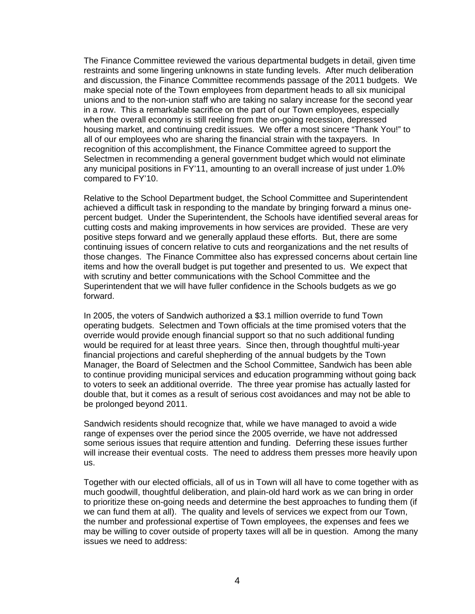The Finance Committee reviewed the various departmental budgets in detail, given time restraints and some lingering unknowns in state funding levels. After much deliberation and discussion, the Finance Committee recommends passage of the 2011 budgets. We make special note of the Town employees from department heads to all six municipal unions and to the non-union staff who are taking no salary increase for the second year in a row. This a remarkable sacrifice on the part of our Town employees, especially when the overall economy is still reeling from the on-going recession, depressed housing market, and continuing credit issues. We offer a most sincere "Thank You!" to all of our employees who are sharing the financial strain with the taxpayers. In recognition of this accomplishment, the Finance Committee agreed to support the Selectmen in recommending a general government budget which would not eliminate any municipal positions in FY'11, amounting to an overall increase of just under 1.0% compared to FY'10.

Relative to the School Department budget, the School Committee and Superintendent achieved a difficult task in responding to the mandate by bringing forward a minus onepercent budget. Under the Superintendent, the Schools have identified several areas for cutting costs and making improvements in how services are provided. These are very positive steps forward and we generally applaud these efforts. But, there are some continuing issues of concern relative to cuts and reorganizations and the net results of those changes. The Finance Committee also has expressed concerns about certain line items and how the overall budget is put together and presented to us. We expect that with scrutiny and better communications with the School Committee and the Superintendent that we will have fuller confidence in the Schools budgets as we go forward.

In 2005, the voters of Sandwich authorized a \$3.1 million override to fund Town operating budgets. Selectmen and Town officials at the time promised voters that the override would provide enough financial support so that no such additional funding would be required for at least three years. Since then, through thoughtful multi-year financial projections and careful shepherding of the annual budgets by the Town Manager, the Board of Selectmen and the School Committee, Sandwich has been able to continue providing municipal services and education programming without going back to voters to seek an additional override. The three year promise has actually lasted for double that, but it comes as a result of serious cost avoidances and may not be able to be prolonged beyond 2011.

Sandwich residents should recognize that, while we have managed to avoid a wide range of expenses over the period since the 2005 override, we have not addressed some serious issues that require attention and funding. Deferring these issues further will increase their eventual costs. The need to address them presses more heavily upon us.

Together with our elected officials, all of us in Town will all have to come together with as much goodwill, thoughtful deliberation, and plain-old hard work as we can bring in order to prioritize these on-going needs and determine the best approaches to funding them (if we can fund them at all). The quality and levels of services we expect from our Town, the number and professional expertise of Town employees, the expenses and fees we may be willing to cover outside of property taxes will all be in question. Among the many issues we need to address: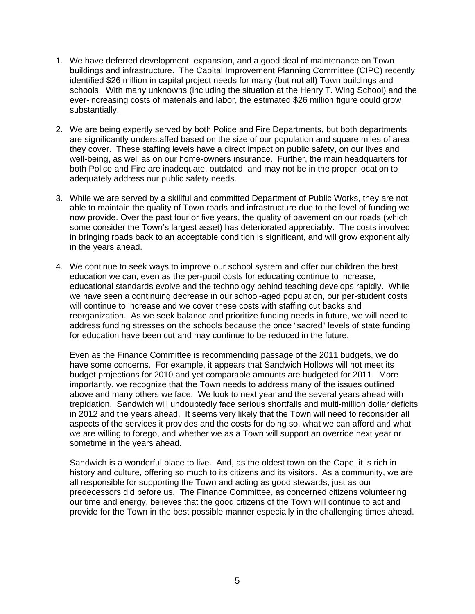- 1. We have deferred development, expansion, and a good deal of maintenance on Town buildings and infrastructure. The Capital Improvement Planning Committee (CIPC) recently identified \$26 million in capital project needs for many (but not all) Town buildings and schools. With many unknowns (including the situation at the Henry T. Wing School) and the ever-increasing costs of materials and labor, the estimated \$26 million figure could grow substantially.
- 2. We are being expertly served by both Police and Fire Departments, but both departments are significantly understaffed based on the size of our population and square miles of area they cover. These staffing levels have a direct impact on public safety, on our lives and well-being, as well as on our home-owners insurance. Further, the main headquarters for both Police and Fire are inadequate, outdated, and may not be in the proper location to adequately address our public safety needs.
- 3. While we are served by a skillful and committed Department of Public Works, they are not able to maintain the quality of Town roads and infrastructure due to the level of funding we now provide. Over the past four or five years, the quality of pavement on our roads (which some consider the Town's largest asset) has deteriorated appreciably. The costs involved in bringing roads back to an acceptable condition is significant, and will grow exponentially in the years ahead.
- 4. We continue to seek ways to improve our school system and offer our children the best education we can, even as the per-pupil costs for educating continue to increase, educational standards evolve and the technology behind teaching develops rapidly. While we have seen a continuing decrease in our school-aged population, our per-student costs will continue to increase and we cover these costs with staffing cut backs and reorganization. As we seek balance and prioritize funding needs in future, we will need to address funding stresses on the schools because the once "sacred" levels of state funding for education have been cut and may continue to be reduced in the future.

Even as the Finance Committee is recommending passage of the 2011 budgets, we do have some concerns. For example, it appears that Sandwich Hollows will not meet its budget projections for 2010 and yet comparable amounts are budgeted for 2011. More importantly, we recognize that the Town needs to address many of the issues outlined above and many others we face. We look to next year and the several years ahead with trepidation. Sandwich will undoubtedly face serious shortfalls and multi-million dollar deficits in 2012 and the years ahead. It seems very likely that the Town will need to reconsider all aspects of the services it provides and the costs for doing so, what we can afford and what we are willing to forego, and whether we as a Town will support an override next year or sometime in the years ahead.

Sandwich is a wonderful place to live. And, as the oldest town on the Cape, it is rich in history and culture, offering so much to its citizens and its visitors. As a community, we are all responsible for supporting the Town and acting as good stewards, just as our predecessors did before us. The Finance Committee, as concerned citizens volunteering our time and energy, believes that the good citizens of the Town will continue to act and provide for the Town in the best possible manner especially in the challenging times ahead.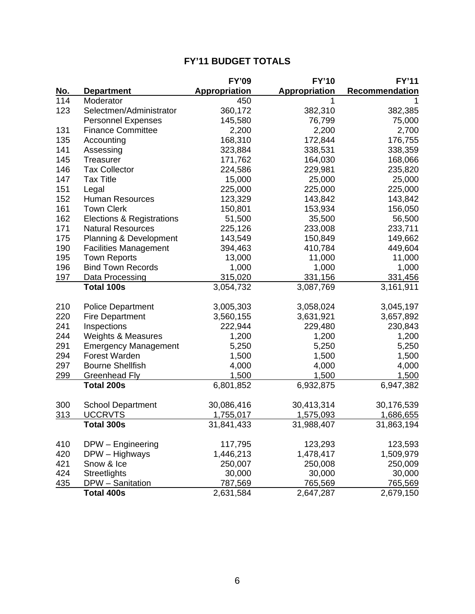| <b>FY'11 BUDGET TOTALS</b> |  |
|----------------------------|--|
|----------------------------|--|

|            |                                   | <b>FY'09</b>         | <b>FY'10</b>         | <b>FY'11</b>     |
|------------|-----------------------------------|----------------------|----------------------|------------------|
| <u>No.</u> | <b>Department</b>                 | <b>Appropriation</b> | <b>Appropriation</b> | Recommendation   |
| 114        | Moderator                         | 450                  | 1                    |                  |
| 123        | Selectmen/Administrator           | 360,172              | 382,310              | 382,385          |
|            | <b>Personnel Expenses</b>         | 145,580              | 76,799               | 75,000           |
| 131        | <b>Finance Committee</b>          | 2,200                | 2,200                | 2,700            |
| 135        | Accounting                        | 168,310              | 172,844              | 176,755          |
| 141        | Assessing                         | 323,884              | 338,531              | 338,359          |
| 145        | Treasurer                         | 171,762              | 164,030              | 168,066          |
| 146        | <b>Tax Collector</b>              | 224,586              | 229,981              | 235,820          |
| 147        | <b>Tax Title</b>                  | 15,000               | 25,000               | 25,000           |
| 151        | Legal                             | 225,000              | 225,000              | 225,000          |
| 152        | <b>Human Resources</b>            | 123,329              | 143,842              | 143,842          |
| 161        | <b>Town Clerk</b>                 | 150,801              | 153,934              | 156,050          |
| 162        | Elections & Registrations         | 51,500               | 35,500               | 56,500           |
| 171        | <b>Natural Resources</b>          | 225,126              | 233,008              | 233,711          |
| 175        | <b>Planning &amp; Development</b> | 143,549              | 150,849              | 149,662          |
| 190        | <b>Facilities Management</b>      | 394,463              | 410,784              | 449,604          |
| 195        | <b>Town Reports</b>               | 13,000               | 11,000               | 11,000           |
| 196        | <b>Bind Town Records</b>          | 1,000                | 1,000                | 1,000            |
| <u>197</u> | Data Processing                   | 315,020              | 331,156              | 331,456          |
|            | Total 100s                        | 3,054,732            | 3,087,769            | 3,161,911        |
| 210        | <b>Police Department</b>          | 3,005,303            | 3,058,024            | 3,045,197        |
| 220        | <b>Fire Department</b>            | 3,560,155            | 3,631,921            | 3,657,892        |
| 241        | Inspections                       | 222,944              | 229,480              | 230,843          |
| 244        | <b>Weights &amp; Measures</b>     | 1,200                | 1,200                | 1,200            |
| 291        | <b>Emergency Management</b>       | 5,250                | 5,250                | 5,250            |
| 294        | Forest Warden                     | 1,500                | 1,500                | 1,500            |
| 297        | <b>Bourne Shellfish</b>           | 4,000                | 4,000                | 4,000            |
| 299        | Greenhead Fly                     | 1,500                | 1,500                | 1,500            |
|            | <b>Total 200s</b>                 | 6,801,852            | 6,932,875            | 6,947,382        |
| 300        | <b>School Department</b>          | 30,086,416           | 30,413,314           | 30,176,539       |
| 313        | <b>UCCRVTS</b>                    | <u>1,755,017</u>     | <u>1,575,093</u>     | <u>1,686,655</u> |
|            | Total 300s                        | 31,841,433           | 31,988,407           | 31,863,194       |
| 410        | DPW - Engineering                 | 117,795              | 123,293              | 123,593          |
| 420        | DPW - Highways                    | 1,446,213            | 1,478,417            | 1,509,979        |
| 421        | Snow & Ice                        | 250,007              | 250,008              | 250,009          |
| 424        | <b>Streetlights</b>               | 30,000               | 30,000               | 30,000           |
| 435        | DPW - Sanitation                  | 787,569              | 765,569              | <u>765,569</u>   |
|            | Total 400s                        | 2,631,584            | 2,647,287            | 2,679,150        |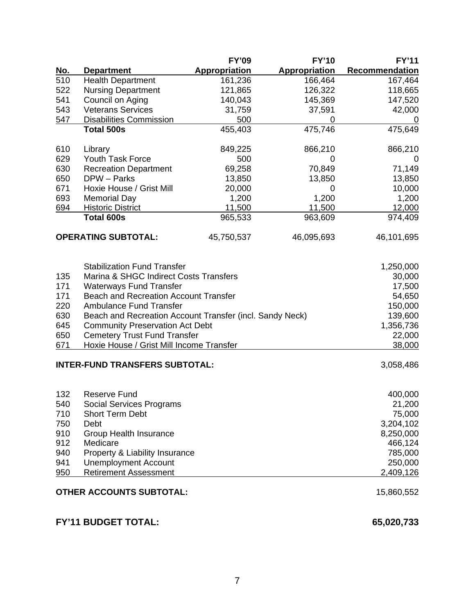|                            |                                                          | <b>FY'09</b>         | <b>FY'10</b>         | <b>FY'11</b>          |
|----------------------------|----------------------------------------------------------|----------------------|----------------------|-----------------------|
| <u>No.</u>                 | <b>Department</b>                                        | <b>Appropriation</b> | <b>Appropriation</b> | <b>Recommendation</b> |
| 510                        | <b>Health Department</b>                                 | 161,236              | 166,464              | 167,464               |
| 522                        | <b>Nursing Department</b>                                | 121,865              | 126,322              | 118,665               |
| 541                        | Council on Aging                                         | 140,043              | 145,369              | 147,520               |
| 543                        | <b>Veterans Services</b>                                 | 31,759               | 37,591               | 42,000                |
| 547                        | <b>Disabilities Commission</b>                           | 500                  | 0                    | 0                     |
|                            | Total 500s                                               | 455,403              | 475,746              | 475,649               |
| 610                        | Library                                                  | 849,225              | 866,210              | 866,210               |
| 629                        | <b>Youth Task Force</b>                                  | 500                  | 0                    | $\overline{0}$        |
| 630                        | <b>Recreation Department</b>                             | 69,258               | 70,849               | 71,149                |
| 650                        | DPW - Parks                                              | 13,850               | 13,850               | 13,850                |
| 671                        | Hoxie House / Grist Mill                                 | 20,000               | 0                    | 10,000                |
| 693                        | <b>Memorial Day</b>                                      | 1,200                | 1,200                | 1,200                 |
| 694                        | <b>Historic District</b>                                 | 11,500               | 11,500               | 12,000                |
|                            | <b>Total 600s</b>                                        | 965,533              | 963,609              | 974,409               |
|                            | <b>OPERATING SUBTOTAL:</b>                               | 45,750,537           | 46,095,693           | 46,101,695            |
|                            | <b>Stabilization Fund Transfer</b>                       |                      |                      | 1,250,000             |
| 135                        | Marina & SHGC Indirect Costs Transfers                   |                      |                      | 30,000                |
| 171                        | <b>Waterways Fund Transfer</b>                           |                      |                      | 17,500                |
| 171                        | <b>Beach and Recreation Account Transfer</b>             |                      |                      | 54,650                |
| 220                        | <b>Ambulance Fund Transfer</b>                           |                      |                      | 150,000               |
| 630                        | Beach and Recreation Account Transfer (incl. Sandy Neck) |                      |                      | 139,600               |
| 645                        | <b>Community Preservation Act Debt</b>                   |                      |                      | 1,356,736             |
| 650                        | <b>Cemetery Trust Fund Transfer</b>                      |                      |                      | 22,000                |
| 671                        | Hoxie House / Grist Mill Income Transfer                 |                      |                      | 38,000                |
|                            | <b>INTER-FUND TRANSFERS SUBTOTAL:</b>                    |                      |                      | 3,058,486             |
| 132                        | <b>Reserve Fund</b>                                      |                      |                      | 400,000               |
| 540                        | <b>Social Services Programs</b>                          |                      |                      | 21,200                |
| 710                        | <b>Short Term Debt</b>                                   |                      |                      | 75,000                |
| 750                        | <b>Debt</b>                                              |                      |                      | 3,204,102             |
| 910                        | <b>Group Health Insurance</b>                            |                      |                      | 8,250,000             |
| 912                        | Medicare                                                 |                      |                      | 466,124               |
| 940                        | Property & Liability Insurance                           |                      |                      | 785,000               |
| 941                        | <b>Unemployment Account</b>                              |                      |                      | 250,000               |
| 950                        | <b>Retirement Assessment</b>                             |                      |                      | 2,409,126             |
|                            | <b>OTHER ACCOUNTS SUBTOTAL:</b>                          |                      |                      | 15,860,552            |
| <b>FY'11 BUDGET TOTAL:</b> |                                                          |                      |                      | 65,020,733            |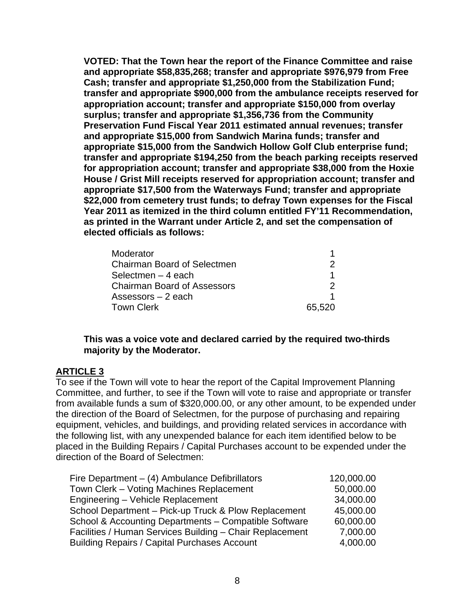**VOTED: That the Town hear the report of the Finance Committee and raise and appropriate \$58,835,268; transfer and appropriate \$976,979 from Free Cash; transfer and appropriate \$1,250,000 from the Stabilization Fund; transfer and appropriate \$900,000 from the ambulance receipts reserved for appropriation account; transfer and appropriate \$150,000 from overlay surplus; transfer and appropriate \$1,356,736 from the Community Preservation Fund Fiscal Year 2011 estimated annual revenues; transfer and appropriate \$15,000 from Sandwich Marina funds; transfer and appropriate \$15,000 from the Sandwich Hollow Golf Club enterprise fund; transfer and appropriate \$194,250 from the beach parking receipts reserved for appropriation account; transfer and appropriate \$38,000 from the Hoxie House / Grist Mill receipts reserved for appropriation account; transfer and appropriate \$17,500 from the Waterways Fund; transfer and appropriate \$22,000 from cemetery trust funds; to defray Town expenses for the Fiscal Year 2011 as itemized in the third column entitled FY'11 Recommendation, as printed in the Warrant under Article 2, and set the compensation of elected officials as follows:** 

| Moderator                          |        |
|------------------------------------|--------|
| <b>Chairman Board of Selectmen</b> |        |
| Selectmen $-4$ each                |        |
| <b>Chairman Board of Assessors</b> |        |
| Assessors $-2$ each                |        |
| <b>Town Clerk</b>                  | 65,520 |

### **This was a voice vote and declared carried by the required two-thirds majority by the Moderator.**

#### **ARTICLE 3**

To see if the Town will vote to hear the report of the Capital Improvement Planning Committee, and further, to see if the Town will vote to raise and appropriate or transfer from available funds a sum of \$320,000.00, or any other amount, to be expended under the direction of the Board of Selectmen, for the purpose of purchasing and repairing equipment, vehicles, and buildings, and providing related services in accordance with the following list, with any unexpended balance for each item identified below to be placed in the Building Repairs / Capital Purchases account to be expended under the direction of the Board of Selectmen:

| Fire Department $-$ (4) Ambulance Defibrillators         | 120,000.00 |
|----------------------------------------------------------|------------|
| Town Clerk - Voting Machines Replacement                 | 50,000.00  |
| Engineering - Vehicle Replacement                        | 34,000.00  |
| School Department - Pick-up Truck & Plow Replacement     | 45,000.00  |
| School & Accounting Departments - Compatible Software    | 60,000.00  |
| Facilities / Human Services Building - Chair Replacement | 7,000.00   |
| <b>Building Repairs / Capital Purchases Account</b>      | 4,000.00   |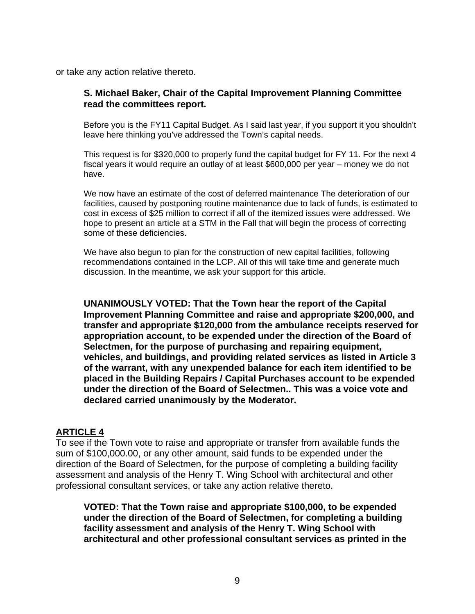or take any action relative thereto.

#### **S. Michael Baker, Chair of the Capital Improvement Planning Committee read the committees report.**

Before you is the FY11 Capital Budget. As I said last year, if you support it you shouldn't leave here thinking you've addressed the Town's capital needs.

This request is for \$320,000 to properly fund the capital budget for FY 11. For the next 4 fiscal years it would require an outlay of at least \$600,000 per year – money we do not have.

We now have an estimate of the cost of deferred maintenance The deterioration of our facilities, caused by postponing routine maintenance due to lack of funds, is estimated to cost in excess of \$25 million to correct if all of the itemized issues were addressed. We hope to present an article at a STM in the Fall that will begin the process of correcting some of these deficiencies.

We have also begun to plan for the construction of new capital facilities, following recommendations contained in the LCP. All of this will take time and generate much discussion. In the meantime, we ask your support for this article.

**UNANIMOUSLY VOTED: That the Town hear the report of the Capital Improvement Planning Committee and raise and appropriate \$200,000, and transfer and appropriate \$120,000 from the ambulance receipts reserved for appropriation account, to be expended under the direction of the Board of Selectmen, for the purpose of purchasing and repairing equipment, vehicles, and buildings, and providing related services as listed in Article 3 of the warrant, with any unexpended balance for each item identified to be placed in the Building Repairs / Capital Purchases account to be expended under the direction of the Board of Selectmen.. This was a voice vote and declared carried unanimously by the Moderator.** 

#### **ARTICLE 4**

To see if the Town vote to raise and appropriate or transfer from available funds the sum of \$100,000.00, or any other amount, said funds to be expended under the direction of the Board of Selectmen, for the purpose of completing a building facility assessment and analysis of the Henry T. Wing School with architectural and other professional consultant services, or take any action relative thereto.

**VOTED: That the Town raise and appropriate \$100,000, to be expended under the direction of the Board of Selectmen, for completing a building facility assessment and analysis of the Henry T. Wing School with architectural and other professional consultant services as printed in the**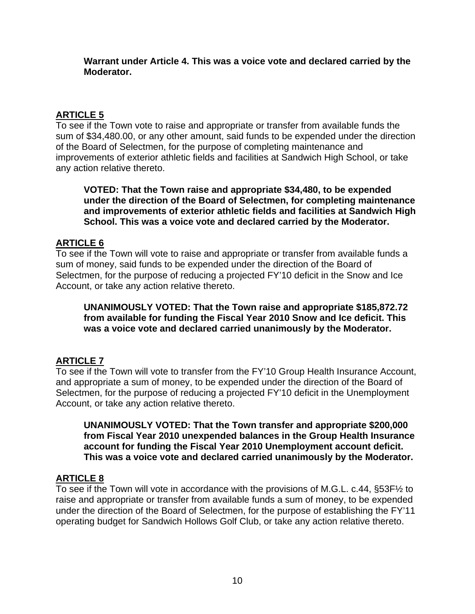**Warrant under Article 4. This was a voice vote and declared carried by the Moderator.** 

# **ARTICLE 5**

To see if the Town vote to raise and appropriate or transfer from available funds the sum of \$34,480.00, or any other amount, said funds to be expended under the direction of the Board of Selectmen, for the purpose of completing maintenance and improvements of exterior athletic fields and facilities at Sandwich High School, or take any action relative thereto.

**VOTED: That the Town raise and appropriate \$34,480, to be expended under the direction of the Board of Selectmen, for completing maintenance and improvements of exterior athletic fields and facilities at Sandwich High School. This was a voice vote and declared carried by the Moderator.** 

# **ARTICLE 6**

To see if the Town will vote to raise and appropriate or transfer from available funds a sum of money, said funds to be expended under the direction of the Board of Selectmen, for the purpose of reducing a projected FY'10 deficit in the Snow and Ice Account, or take any action relative thereto.

**UNANIMOUSLY VOTED: That the Town raise and appropriate \$185,872.72 from available for funding the Fiscal Year 2010 Snow and Ice deficit. This was a voice vote and declared carried unanimously by the Moderator.** 

# **ARTICLE 7**

To see if the Town will vote to transfer from the FY'10 Group Health Insurance Account, and appropriate a sum of money, to be expended under the direction of the Board of Selectmen, for the purpose of reducing a projected FY'10 deficit in the Unemployment Account, or take any action relative thereto.

**UNANIMOUSLY VOTED: That the Town transfer and appropriate \$200,000 from Fiscal Year 2010 unexpended balances in the Group Health Insurance account for funding the Fiscal Year 2010 Unemployment account deficit. This was a voice vote and declared carried unanimously by the Moderator.** 

# **ARTICLE 8**

To see if the Town will vote in accordance with the provisions of M.G.L. c.44, §53F½ to raise and appropriate or transfer from available funds a sum of money, to be expended under the direction of the Board of Selectmen, for the purpose of establishing the FY'11 operating budget for Sandwich Hollows Golf Club, or take any action relative thereto.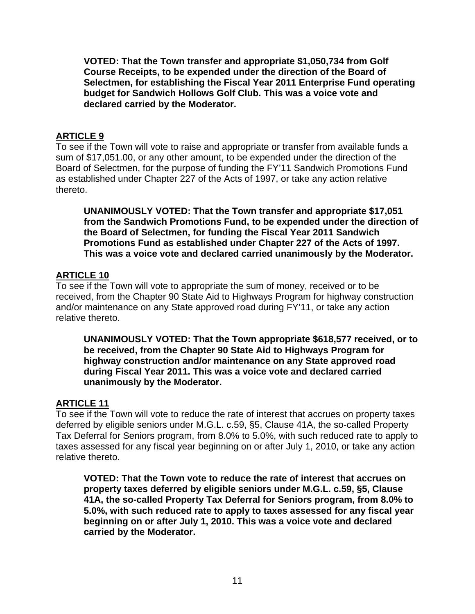**VOTED: That the Town transfer and appropriate \$1,050,734 from Golf Course Receipts, to be expended under the direction of the Board of Selectmen, for establishing the Fiscal Year 2011 Enterprise Fund operating budget for Sandwich Hollows Golf Club. This was a voice vote and declared carried by the Moderator.** 

# **ARTICLE 9**

To see if the Town will vote to raise and appropriate or transfer from available funds a sum of \$17,051.00, or any other amount, to be expended under the direction of the Board of Selectmen, for the purpose of funding the FY'11 Sandwich Promotions Fund as established under Chapter 227 of the Acts of 1997, or take any action relative thereto.

**UNANIMOUSLY VOTED: That the Town transfer and appropriate \$17,051 from the Sandwich Promotions Fund, to be expended under the direction of the Board of Selectmen, for funding the Fiscal Year 2011 Sandwich Promotions Fund as established under Chapter 227 of the Acts of 1997. This was a voice vote and declared carried unanimously by the Moderator.** 

### **ARTICLE 10**

To see if the Town will vote to appropriate the sum of money, received or to be received, from the Chapter 90 State Aid to Highways Program for highway construction and/or maintenance on any State approved road during FY'11, or take any action relative thereto.

**UNANIMOUSLY VOTED: That the Town appropriate \$618,577 received, or to be received, from the Chapter 90 State Aid to Highways Program for highway construction and/or maintenance on any State approved road during Fiscal Year 2011. This was a voice vote and declared carried unanimously by the Moderator.** 

#### **ARTICLE 11**

To see if the Town will vote to reduce the rate of interest that accrues on property taxes deferred by eligible seniors under M.G.L. c.59, §5, Clause 41A, the so-called Property Tax Deferral for Seniors program, from 8.0% to 5.0%, with such reduced rate to apply to taxes assessed for any fiscal year beginning on or after July 1, 2010, or take any action relative thereto.

**VOTED: That the Town vote to reduce the rate of interest that accrues on property taxes deferred by eligible seniors under M.G.L. c.59, §5, Clause 41A, the so-called Property Tax Deferral for Seniors program, from 8.0% to 5.0%, with such reduced rate to apply to taxes assessed for any fiscal year beginning on or after July 1, 2010. This was a voice vote and declared carried by the Moderator.**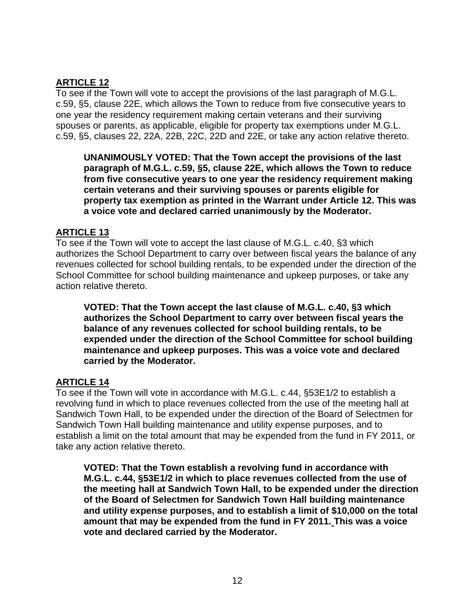# **ARTICLE 12**

To see if the Town will vote to accept the provisions of the last paragraph of M.G.L. c.59, §5, clause 22E, which allows the Town to reduce from five consecutive years to one year the residency requirement making certain veterans and their surviving spouses or parents, as applicable, eligible for property tax exemptions under M.G.L. c.59, §5, clauses 22, 22A, 22B, 22C, 22D and 22E, or take any action relative thereto.

**UNANIMOUSLY VOTED: That the Town accept the provisions of the last paragraph of M.G.L. c.59, §5, clause 22E, which allows the Town to reduce from five consecutive years to one year the residency requirement making certain veterans and their surviving spouses or parents eligible for property tax exemption as printed in the Warrant under Article 12. This was a voice vote and declared carried unanimously by the Moderator.** 

# **ARTICLE 13**

To see if the Town will vote to accept the last clause of M.G.L. c.40, §3 which authorizes the School Department to carry over between fiscal years the balance of any revenues collected for school building rentals, to be expended under the direction of the School Committee for school building maintenance and upkeep purposes, or take any action relative thereto.

**VOTED: That the Town accept the last clause of M.G.L. c.40, §3 which authorizes the School Department to carry over between fiscal years the balance of any revenues collected for school building rentals, to be expended under the direction of the School Committee for school building maintenance and upkeep purposes. This was a voice vote and declared carried by the Moderator.** 

# **ARTICLE 14**

To see if the Town will vote in accordance with M.G.L. c.44, §53E1/2 to establish a revolving fund in which to place revenues collected from the use of the meeting hall at Sandwich Town Hall, to be expended under the direction of the Board of Selectmen for Sandwich Town Hall building maintenance and utility expense purposes, and to establish a limit on the total amount that may be expended from the fund in FY 2011, or take any action relative thereto.

**VOTED: That the Town establish a revolving fund in accordance with M.G.L. c.44, §53E1/2 in which to place revenues collected from the use of the meeting hall at Sandwich Town Hall, to be expended under the direction of the Board of Selectmen for Sandwich Town Hall building maintenance and utility expense purposes, and to establish a limit of \$10,000 on the total amount that may be expended from the fund in FY 2011. This was a voice vote and declared carried by the Moderator.**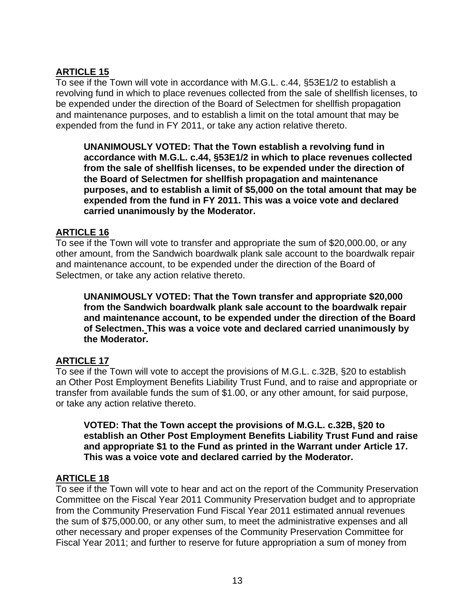# **ARTICLE 15**

To see if the Town will vote in accordance with M.G.L. c.44, §53E1/2 to establish a revolving fund in which to place revenues collected from the sale of shellfish licenses, to be expended under the direction of the Board of Selectmen for shellfish propagation and maintenance purposes, and to establish a limit on the total amount that may be expended from the fund in FY 2011, or take any action relative thereto.

**UNANIMOUSLY VOTED: That the Town establish a revolving fund in accordance with M.G.L. c.44, §53E1/2 in which to place revenues collected from the sale of shellfish licenses, to be expended under the direction of the Board of Selectmen for shellfish propagation and maintenance purposes, and to establish a limit of \$5,000 on the total amount that may be expended from the fund in FY 2011. This was a voice vote and declared carried unanimously by the Moderator.** 

### **ARTICLE 16**

To see if the Town will vote to transfer and appropriate the sum of \$20,000.00, or any other amount, from the Sandwich boardwalk plank sale account to the boardwalk repair and maintenance account, to be expended under the direction of the Board of Selectmen, or take any action relative thereto.

**UNANIMOUSLY VOTED: That the Town transfer and appropriate \$20,000 from the Sandwich boardwalk plank sale account to the boardwalk repair and maintenance account, to be expended under the direction of the Board of Selectmen. This was a voice vote and declared carried unanimously by the Moderator.** 

# **ARTICLE 17**

To see if the Town will vote to accept the provisions of M.G.L. c.32B, §20 to establish an Other Post Employment Benefits Liability Trust Fund, and to raise and appropriate or transfer from available funds the sum of \$1.00, or any other amount, for said purpose, or take any action relative thereto.

**VOTED: That the Town accept the provisions of M.G.L. c.32B, §20 to establish an Other Post Employment Benefits Liability Trust Fund and raise and appropriate \$1 to the Fund as printed in the Warrant under Article 17. This was a voice vote and declared carried by the Moderator.** 

# **ARTICLE 18**

To see if the Town will vote to hear and act on the report of the Community Preservation Committee on the Fiscal Year 2011 Community Preservation budget and to appropriate from the Community Preservation Fund Fiscal Year 2011 estimated annual revenues the sum of \$75,000.00, or any other sum, to meet the administrative expenses and all other necessary and proper expenses of the Community Preservation Committee for Fiscal Year 2011; and further to reserve for future appropriation a sum of money from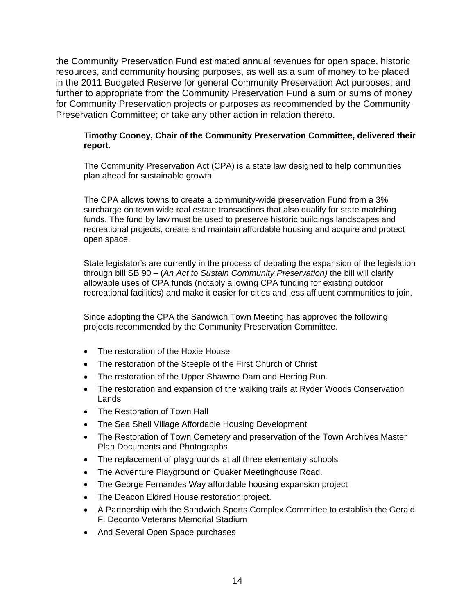the Community Preservation Fund estimated annual revenues for open space, historic resources, and community housing purposes, as well as a sum of money to be placed in the 2011 Budgeted Reserve for general Community Preservation Act purposes; and further to appropriate from the Community Preservation Fund a sum or sums of money for Community Preservation projects or purposes as recommended by the Community Preservation Committee; or take any other action in relation thereto.

#### **Timothy Cooney, Chair of the Community Preservation Committee, delivered their report.**

The Community Preservation Act (CPA) is a state law designed to help communities plan ahead for sustainable growth

The CPA allows towns to create a community-wide preservation Fund from a 3% surcharge on town wide real estate transactions that also qualify for state matching funds. The fund by law must be used to preserve historic buildings landscapes and recreational projects, create and maintain affordable housing and acquire and protect open space.

State legislator's are currently in the process of debating the expansion of the legislation through bill SB 90 – (*An Act to Sustain Community Preservation)* the bill will clarify allowable uses of CPA funds (notably allowing CPA funding for existing outdoor recreational facilities) and make it easier for cities and less affluent communities to join.

Since adopting the CPA the Sandwich Town Meeting has approved the following projects recommended by the Community Preservation Committee.

- The restoration of the Hoxie House
- The restoration of the Steeple of the First Church of Christ
- The restoration of the Upper Shawme Dam and Herring Run.
- The restoration and expansion of the walking trails at Ryder Woods Conservation Lands
- The Restoration of Town Hall
- The Sea Shell Village Affordable Housing Development
- The Restoration of Town Cemetery and preservation of the Town Archives Master Plan Documents and Photographs
- The replacement of playgrounds at all three elementary schools
- The Adventure Playground on Quaker Meetinghouse Road.
- The George Fernandes Way affordable housing expansion project
- The Deacon Eldred House restoration project.
- A Partnership with the Sandwich Sports Complex Committee to establish the Gerald F. Deconto Veterans Memorial Stadium
- And Several Open Space purchases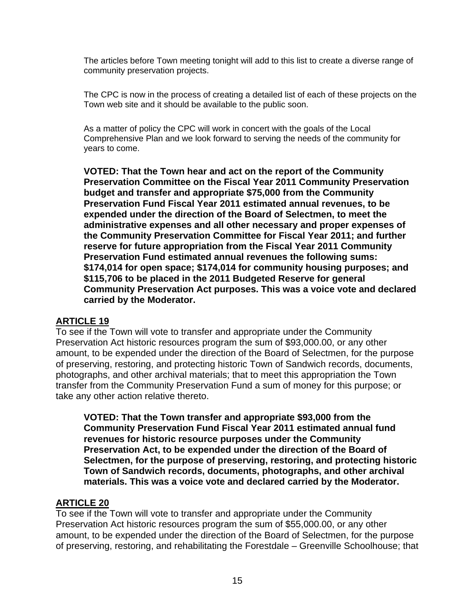The articles before Town meeting tonight will add to this list to create a diverse range of community preservation projects.

The CPC is now in the process of creating a detailed list of each of these projects on the Town web site and it should be available to the public soon.

As a matter of policy the CPC will work in concert with the goals of the Local Comprehensive Plan and we look forward to serving the needs of the community for years to come.

**VOTED: That the Town hear and act on the report of the Community Preservation Committee on the Fiscal Year 2011 Community Preservation budget and transfer and appropriate \$75,000 from the Community Preservation Fund Fiscal Year 2011 estimated annual revenues, to be expended under the direction of the Board of Selectmen, to meet the administrative expenses and all other necessary and proper expenses of the Community Preservation Committee for Fiscal Year 2011; and further reserve for future appropriation from the Fiscal Year 2011 Community Preservation Fund estimated annual revenues the following sums: \$174,014 for open space; \$174,014 for community housing purposes; and \$115,706 to be placed in the 2011 Budgeted Reserve for general Community Preservation Act purposes. This was a voice vote and declared carried by the Moderator.** 

#### **ARTICLE 19**

To see if the Town will vote to transfer and appropriate under the Community Preservation Act historic resources program the sum of \$93,000.00, or any other amount, to be expended under the direction of the Board of Selectmen, for the purpose of preserving, restoring, and protecting historic Town of Sandwich records, documents, photographs, and other archival materials; that to meet this appropriation the Town transfer from the Community Preservation Fund a sum of money for this purpose; or take any other action relative thereto.

**VOTED: That the Town transfer and appropriate \$93,000 from the Community Preservation Fund Fiscal Year 2011 estimated annual fund revenues for historic resource purposes under the Community Preservation Act, to be expended under the direction of the Board of Selectmen, for the purpose of preserving, restoring, and protecting historic Town of Sandwich records, documents, photographs, and other archival materials. This was a voice vote and declared carried by the Moderator.** 

#### **ARTICLE 20**

To see if the Town will vote to transfer and appropriate under the Community Preservation Act historic resources program the sum of \$55,000.00, or any other amount, to be expended under the direction of the Board of Selectmen, for the purpose of preserving, restoring, and rehabilitating the Forestdale – Greenville Schoolhouse; that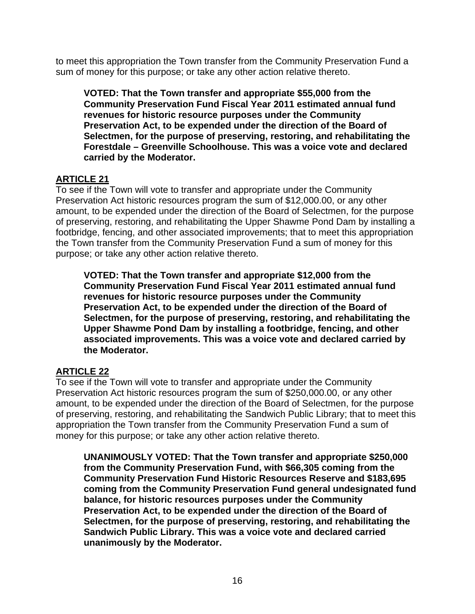to meet this appropriation the Town transfer from the Community Preservation Fund a sum of money for this purpose; or take any other action relative thereto.

**VOTED: That the Town transfer and appropriate \$55,000 from the Community Preservation Fund Fiscal Year 2011 estimated annual fund revenues for historic resource purposes under the Community Preservation Act, to be expended under the direction of the Board of Selectmen, for the purpose of preserving, restoring, and rehabilitating the Forestdale – Greenville Schoolhouse. This was a voice vote and declared carried by the Moderator.** 

# **ARTICLE 21**

To see if the Town will vote to transfer and appropriate under the Community Preservation Act historic resources program the sum of \$12,000.00, or any other amount, to be expended under the direction of the Board of Selectmen, for the purpose of preserving, restoring, and rehabilitating the Upper Shawme Pond Dam by installing a footbridge, fencing, and other associated improvements; that to meet this appropriation the Town transfer from the Community Preservation Fund a sum of money for this purpose; or take any other action relative thereto.

**VOTED: That the Town transfer and appropriate \$12,000 from the Community Preservation Fund Fiscal Year 2011 estimated annual fund revenues for historic resource purposes under the Community Preservation Act, to be expended under the direction of the Board of Selectmen, for the purpose of preserving, restoring, and rehabilitating the Upper Shawme Pond Dam by installing a footbridge, fencing, and other associated improvements. This was a voice vote and declared carried by the Moderator.** 

# **ARTICLE 22**

To see if the Town will vote to transfer and appropriate under the Community Preservation Act historic resources program the sum of \$250,000.00, or any other amount, to be expended under the direction of the Board of Selectmen, for the purpose of preserving, restoring, and rehabilitating the Sandwich Public Library; that to meet this appropriation the Town transfer from the Community Preservation Fund a sum of money for this purpose; or take any other action relative thereto.

**UNANIMOUSLY VOTED: That the Town transfer and appropriate \$250,000 from the Community Preservation Fund, with \$66,305 coming from the Community Preservation Fund Historic Resources Reserve and \$183,695 coming from the Community Preservation Fund general undesignated fund balance, for historic resources purposes under the Community Preservation Act, to be expended under the direction of the Board of Selectmen, for the purpose of preserving, restoring, and rehabilitating the Sandwich Public Library. This was a voice vote and declared carried unanimously by the Moderator.**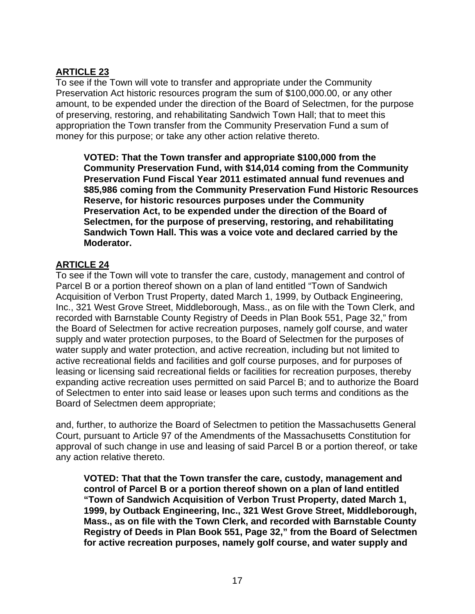# **ARTICLE 23**

To see if the Town will vote to transfer and appropriate under the Community Preservation Act historic resources program the sum of \$100,000.00, or any other amount, to be expended under the direction of the Board of Selectmen, for the purpose of preserving, restoring, and rehabilitating Sandwich Town Hall; that to meet this appropriation the Town transfer from the Community Preservation Fund a sum of money for this purpose; or take any other action relative thereto.

**VOTED: That the Town transfer and appropriate \$100,000 from the Community Preservation Fund, with \$14,014 coming from the Community Preservation Fund Fiscal Year 2011 estimated annual fund revenues and \$85,986 coming from the Community Preservation Fund Historic Resources Reserve, for historic resources purposes under the Community Preservation Act, to be expended under the direction of the Board of Selectmen, for the purpose of preserving, restoring, and rehabilitating Sandwich Town Hall. This was a voice vote and declared carried by the Moderator.** 

# **ARTICLE 24**

To see if the Town will vote to transfer the care, custody, management and control of Parcel B or a portion thereof shown on a plan of land entitled "Town of Sandwich Acquisition of Verbon Trust Property, dated March 1, 1999, by Outback Engineering, Inc., 321 West Grove Street, Middleborough, Mass., as on file with the Town Clerk, and recorded with Barnstable County Registry of Deeds in Plan Book 551, Page 32," from the Board of Selectmen for active recreation purposes, namely golf course, and water supply and water protection purposes, to the Board of Selectmen for the purposes of water supply and water protection, and active recreation, including but not limited to active recreational fields and facilities and golf course purposes, and for purposes of leasing or licensing said recreational fields or facilities for recreation purposes, thereby expanding active recreation uses permitted on said Parcel B; and to authorize the Board of Selectmen to enter into said lease or leases upon such terms and conditions as the Board of Selectmen deem appropriate;

and, further, to authorize the Board of Selectmen to petition the Massachusetts General Court, pursuant to Article 97 of the Amendments of the Massachusetts Constitution for approval of such change in use and leasing of said Parcel B or a portion thereof, or take any action relative thereto.

**VOTED: That that the Town transfer the care, custody, management and control of Parcel B or a portion thereof shown on a plan of land entitled "Town of Sandwich Acquisition of Verbon Trust Property, dated March 1, 1999, by Outback Engineering, Inc., 321 West Grove Street, Middleborough, Mass., as on file with the Town Clerk, and recorded with Barnstable County Registry of Deeds in Plan Book 551, Page 32," from the Board of Selectmen for active recreation purposes, namely golf course, and water supply and**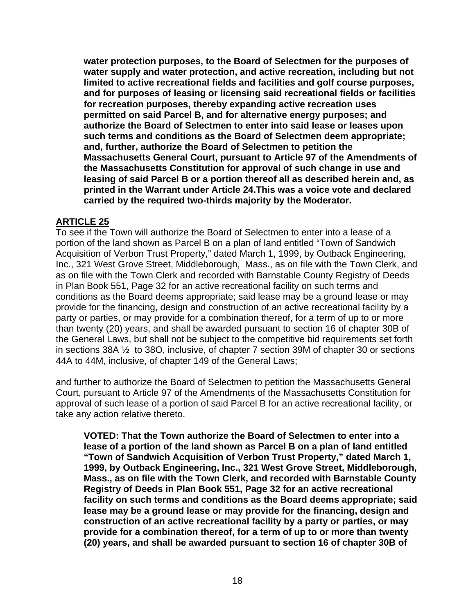**water protection purposes, to the Board of Selectmen for the purposes of water supply and water protection, and active recreation, including but not limited to active recreational fields and facilities and golf course purposes, and for purposes of leasing or licensing said recreational fields or facilities for recreation purposes, thereby expanding active recreation uses permitted on said Parcel B, and for alternative energy purposes; and authorize the Board of Selectmen to enter into said lease or leases upon such terms and conditions as the Board of Selectmen deem appropriate; and, further, authorize the Board of Selectmen to petition the Massachusetts General Court, pursuant to Article 97 of the Amendments of the Massachusetts Constitution for approval of such change in use and leasing of said Parcel B or a portion thereof all as described herein and, as printed in the Warrant under Article 24.This was a voice vote and declared carried by the required two-thirds majority by the Moderator.** 

### **ARTICLE 25**

To see if the Town will authorize the Board of Selectmen to enter into a lease of a portion of the land shown as Parcel B on a plan of land entitled "Town of Sandwich Acquisition of Verbon Trust Property," dated March 1, 1999, by Outback Engineering, Inc., 321 West Grove Street, Middleborough, Mass., as on file with the Town Clerk, and as on file with the Town Clerk and recorded with Barnstable County Registry of Deeds in Plan Book 551, Page 32 for an active recreational facility on such terms and conditions as the Board deems appropriate; said lease may be a ground lease or may provide for the financing, design and construction of an active recreational facility by a party or parties, or may provide for a combination thereof, for a term of up to or more than twenty (20) years, and shall be awarded pursuant to section 16 of chapter 30B of the General Laws, but shall not be subject to the competitive bid requirements set forth in sections 38A ½ to 38O, inclusive, of chapter 7 section 39M of chapter 30 or sections 44A to 44M, inclusive, of chapter 149 of the General Laws;

and further to authorize the Board of Selectmen to petition the Massachusetts General Court, pursuant to Article 97 of the Amendments of the Massachusetts Constitution for approval of such lease of a portion of said Parcel B for an active recreational facility, or take any action relative thereto.

**VOTED: That the Town authorize the Board of Selectmen to enter into a lease of a portion of the land shown as Parcel B on a plan of land entitled "Town of Sandwich Acquisition of Verbon Trust Property," dated March 1, 1999, by Outback Engineering, Inc., 321 West Grove Street, Middleborough, Mass., as on file with the Town Clerk, and recorded with Barnstable County Registry of Deeds in Plan Book 551, Page 32 for an active recreational facility on such terms and conditions as the Board deems appropriate; said lease may be a ground lease or may provide for the financing, design and construction of an active recreational facility by a party or parties, or may provide for a combination thereof, for a term of up to or more than twenty (20) years, and shall be awarded pursuant to section 16 of chapter 30B of**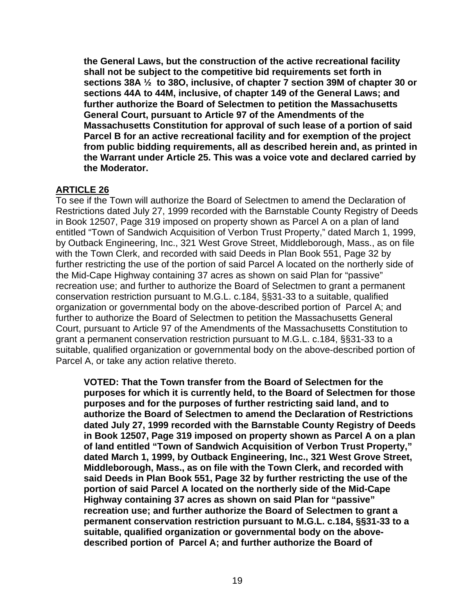**the General Laws, but the construction of the active recreational facility shall not be subject to the competitive bid requirements set forth in sections 38A ½ to 38O, inclusive, of chapter 7 section 39M of chapter 30 or sections 44A to 44M, inclusive, of chapter 149 of the General Laws; and further authorize the Board of Selectmen to petition the Massachusetts General Court, pursuant to Article 97 of the Amendments of the Massachusetts Constitution for approval of such lease of a portion of said Parcel B for an active recreational facility and for exemption of the project from public bidding requirements, all as described herein and, as printed in the Warrant under Article 25. This was a voice vote and declared carried by the Moderator.** 

# **ARTICLE 26**

To see if the Town will authorize the Board of Selectmen to amend the Declaration of Restrictions dated July 27, 1999 recorded with the Barnstable County Registry of Deeds in Book 12507, Page 319 imposed on property shown as Parcel A on a plan of land entitled "Town of Sandwich Acquisition of Verbon Trust Property," dated March 1, 1999, by Outback Engineering, Inc., 321 West Grove Street, Middleborough, Mass., as on file with the Town Clerk, and recorded with said Deeds in Plan Book 551, Page 32 by further restricting the use of the portion of said Parcel A located on the northerly side of the Mid-Cape Highway containing 37 acres as shown on said Plan for "passive" recreation use; and further to authorize the Board of Selectmen to grant a permanent conservation restriction pursuant to M.G.L. c.184, §§31-33 to a suitable, qualified organization or governmental body on the above-described portion of Parcel A; and further to authorize the Board of Selectmen to petition the Massachusetts General Court, pursuant to Article 97 of the Amendments of the Massachusetts Constitution to grant a permanent conservation restriction pursuant to M.G.L. c.184, §§31-33 to a suitable, qualified organization or governmental body on the above-described portion of Parcel A, or take any action relative thereto.

**VOTED: That the Town transfer from the Board of Selectmen for the purposes for which it is currently held, to the Board of Selectmen for those purposes and for the purposes of further restricting said land, and to authorize the Board of Selectmen to amend the Declaration of Restrictions dated July 27, 1999 recorded with the Barnstable County Registry of Deeds in Book 12507, Page 319 imposed on property shown as Parcel A on a plan of land entitled "Town of Sandwich Acquisition of Verbon Trust Property," dated March 1, 1999, by Outback Engineering, Inc., 321 West Grove Street, Middleborough, Mass., as on file with the Town Clerk, and recorded with said Deeds in Plan Book 551, Page 32 by further restricting the use of the portion of said Parcel A located on the northerly side of the Mid-Cape Highway containing 37 acres as shown on said Plan for "passive" recreation use; and further authorize the Board of Selectmen to grant a permanent conservation restriction pursuant to M.G.L. c.184, §§31-33 to a suitable, qualified organization or governmental body on the abovedescribed portion of Parcel A; and further authorize the Board of**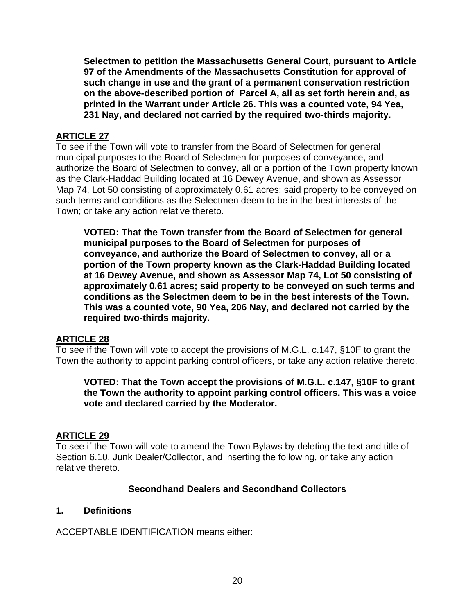**Selectmen to petition the Massachusetts General Court, pursuant to Article 97 of the Amendments of the Massachusetts Constitution for approval of such change in use and the grant of a permanent conservation restriction on the above-described portion of Parcel A, all as set forth herein and, as printed in the Warrant under Article 26. This was a counted vote, 94 Yea, 231 Nay, and declared not carried by the required two-thirds majority.** 

# **ARTICLE 27**

To see if the Town will vote to transfer from the Board of Selectmen for general municipal purposes to the Board of Selectmen for purposes of conveyance, and authorize the Board of Selectmen to convey, all or a portion of the Town property known as the Clark-Haddad Building located at 16 Dewey Avenue, and shown as Assessor Map 74, Lot 50 consisting of approximately 0.61 acres; said property to be conveyed on such terms and conditions as the Selectmen deem to be in the best interests of the Town; or take any action relative thereto.

**VOTED: That the Town transfer from the Board of Selectmen for general municipal purposes to the Board of Selectmen for purposes of conveyance, and authorize the Board of Selectmen to convey, all or a portion of the Town property known as the Clark-Haddad Building located at 16 Dewey Avenue, and shown as Assessor Map 74, Lot 50 consisting of approximately 0.61 acres; said property to be conveyed on such terms and conditions as the Selectmen deem to be in the best interests of the Town. This was a counted vote, 90 Yea, 206 Nay, and declared not carried by the required two-thirds majority.** 

# **ARTICLE 28**

To see if the Town will vote to accept the provisions of M.G.L. c.147, §10F to grant the Town the authority to appoint parking control officers, or take any action relative thereto.

**VOTED: That the Town accept the provisions of M.G.L. c.147, §10F to grant the Town the authority to appoint parking control officers. This was a voice vote and declared carried by the Moderator.** 

#### **ARTICLE 29**

To see if the Town will vote to amend the Town Bylaws by deleting the text and title of Section 6.10, Junk Dealer/Collector, and inserting the following, or take any action relative thereto.

#### **Secondhand Dealers and Secondhand Collectors**

#### **1. Definitions**

ACCEPTABLE IDENTIFICATION means either: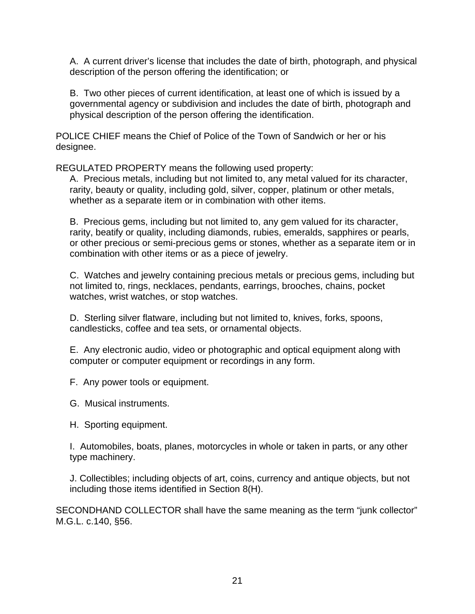A. A current driver's license that includes the date of birth, photograph, and physical description of the person offering the identification; or

B. Two other pieces of current identification, at least one of which is issued by a governmental agency or subdivision and includes the date of birth, photograph and physical description of the person offering the identification.

POLICE CHIEF means the Chief of Police of the Town of Sandwich or her or his designee.

REGULATED PROPERTY means the following used property:

A. Precious metals, including but not limited to, any metal valued for its character, rarity, beauty or quality, including gold, silver, copper, platinum or other metals, whether as a separate item or in combination with other items.

B. Precious gems, including but not limited to, any gem valued for its character, rarity, beatify or quality, including diamonds, rubies, emeralds, sapphires or pearls, or other precious or semi-precious gems or stones, whether as a separate item or in combination with other items or as a piece of jewelry.

C. Watches and jewelry containing precious metals or precious gems, including but not limited to, rings, necklaces, pendants, earrings, brooches, chains, pocket watches, wrist watches, or stop watches.

D. Sterling silver flatware, including but not limited to, knives, forks, spoons, candlesticks, coffee and tea sets, or ornamental objects.

E. Any electronic audio, video or photographic and optical equipment along with computer or computer equipment or recordings in any form.

F. Any power tools or equipment.

G. Musical instruments.

H. Sporting equipment.

I. Automobiles, boats, planes, motorcycles in whole or taken in parts, or any other type machinery.

J. Collectibles; including objects of art, coins, currency and antique objects, but not including those items identified in Section 8(H).

SECONDHAND COLLECTOR shall have the same meaning as the term "junk collector" M.G.L. c.140, §56.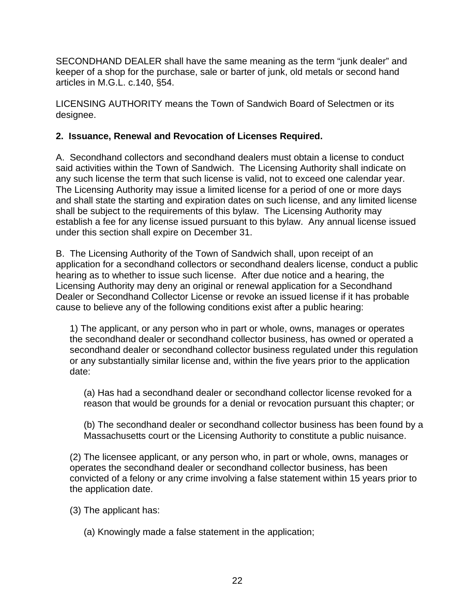SECONDHAND DEALER shall have the same meaning as the term "junk dealer" and keeper of a shop for the purchase, sale or barter of junk, old metals or second hand articles in M.G.L. c.140, §54.

LICENSING AUTHORITY means the Town of Sandwich Board of Selectmen or its designee.

# **2. Issuance, Renewal and Revocation of Licenses Required.**

A. Secondhand collectors and secondhand dealers must obtain a license to conduct said activities within the Town of Sandwich. The Licensing Authority shall indicate on any such license the term that such license is valid, not to exceed one calendar year. The Licensing Authority may issue a limited license for a period of one or more days and shall state the starting and expiration dates on such license, and any limited license shall be subject to the requirements of this bylaw. The Licensing Authority may establish a fee for any license issued pursuant to this bylaw. Any annual license issued under this section shall expire on December 31.

B. The Licensing Authority of the Town of Sandwich shall, upon receipt of an application for a secondhand collectors or secondhand dealers license, conduct a public hearing as to whether to issue such license. After due notice and a hearing, the Licensing Authority may deny an original or renewal application for a Secondhand Dealer or Secondhand Collector License or revoke an issued license if it has probable cause to believe any of the following conditions exist after a public hearing:

1) The applicant, or any person who in part or whole, owns, manages or operates the secondhand dealer or secondhand collector business, has owned or operated a secondhand dealer or secondhand collector business regulated under this regulation or any substantially similar license and, within the five years prior to the application date:

(a) Has had a secondhand dealer or secondhand collector license revoked for a reason that would be grounds for a denial or revocation pursuant this chapter; or

(b) The secondhand dealer or secondhand collector business has been found by a Massachusetts court or the Licensing Authority to constitute a public nuisance.

(2) The licensee applicant, or any person who, in part or whole, owns, manages or operates the secondhand dealer or secondhand collector business, has been convicted of a felony or any crime involving a false statement within 15 years prior to the application date.

(3) The applicant has:

(a) Knowingly made a false statement in the application;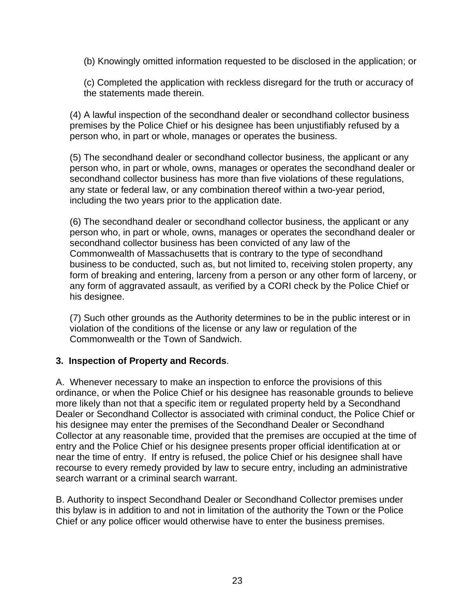(b) Knowingly omitted information requested to be disclosed in the application; or

(c) Completed the application with reckless disregard for the truth or accuracy of the statements made therein.

(4) A lawful inspection of the secondhand dealer or secondhand collector business premises by the Police Chief or his designee has been unjustifiably refused by a person who, in part or whole, manages or operates the business.

(5) The secondhand dealer or secondhand collector business, the applicant or any person who, in part or whole, owns, manages or operates the secondhand dealer or secondhand collector business has more than five violations of these regulations, any state or federal law, or any combination thereof within a two-year period, including the two years prior to the application date.

(6) The secondhand dealer or secondhand collector business, the applicant or any person who, in part or whole, owns, manages or operates the secondhand dealer or secondhand collector business has been convicted of any law of the Commonwealth of Massachusetts that is contrary to the type of secondhand business to be conducted, such as, but not limited to, receiving stolen property, any form of breaking and entering, larceny from a person or any other form of larceny, or any form of aggravated assault, as verified by a CORI check by the Police Chief or his designee.

(7) Such other grounds as the Authority determines to be in the public interest or in violation of the conditions of the license or any law or regulation of the Commonwealth or the Town of Sandwich.

# **3. Inspection of Property and Records**.

A. Whenever necessary to make an inspection to enforce the provisions of this ordinance, or when the Police Chief or his designee has reasonable grounds to believe more likely than not that a specific item or regulated property held by a Secondhand Dealer or Secondhand Collector is associated with criminal conduct, the Police Chief or his designee may enter the premises of the Secondhand Dealer or Secondhand Collector at any reasonable time, provided that the premises are occupied at the time of entry and the Police Chief or his designee presents proper official identification at or near the time of entry. If entry is refused, the police Chief or his designee shall have recourse to every remedy provided by law to secure entry, including an administrative search warrant or a criminal search warrant.

B. Authority to inspect Secondhand Dealer or Secondhand Collector premises under this bylaw is in addition to and not in limitation of the authority the Town or the Police Chief or any police officer would otherwise have to enter the business premises.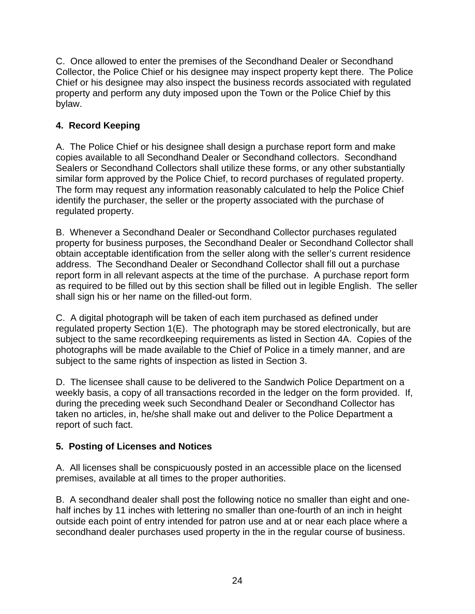C. Once allowed to enter the premises of the Secondhand Dealer or Secondhand Collector, the Police Chief or his designee may inspect property kept there. The Police Chief or his designee may also inspect the business records associated with regulated property and perform any duty imposed upon the Town or the Police Chief by this bylaw.

# **4. Record Keeping**

A. The Police Chief or his designee shall design a purchase report form and make copies available to all Secondhand Dealer or Secondhand collectors. Secondhand Sealers or Secondhand Collectors shall utilize these forms, or any other substantially similar form approved by the Police Chief, to record purchases of regulated property. The form may request any information reasonably calculated to help the Police Chief identify the purchaser, the seller or the property associated with the purchase of regulated property.

B. Whenever a Secondhand Dealer or Secondhand Collector purchases regulated property for business purposes, the Secondhand Dealer or Secondhand Collector shall obtain acceptable identification from the seller along with the seller's current residence address. The Secondhand Dealer or Secondhand Collector shall fill out a purchase report form in all relevant aspects at the time of the purchase. A purchase report form as required to be filled out by this section shall be filled out in legible English. The seller shall sign his or her name on the filled-out form.

C. A digital photograph will be taken of each item purchased as defined under regulated property Section 1(E). The photograph may be stored electronically, but are subject to the same recordkeeping requirements as listed in Section 4A. Copies of the photographs will be made available to the Chief of Police in a timely manner, and are subject to the same rights of inspection as listed in Section 3.

D. The licensee shall cause to be delivered to the Sandwich Police Department on a weekly basis, a copy of all transactions recorded in the ledger on the form provided. If, during the preceding week such Secondhand Dealer or Secondhand Collector has taken no articles, in, he/she shall make out and deliver to the Police Department a report of such fact.

# **5. Posting of Licenses and Notices**

A. All licenses shall be conspicuously posted in an accessible place on the licensed premises, available at all times to the proper authorities.

B. A secondhand dealer shall post the following notice no smaller than eight and onehalf inches by 11 inches with lettering no smaller than one-fourth of an inch in height outside each point of entry intended for patron use and at or near each place where a secondhand dealer purchases used property in the in the regular course of business.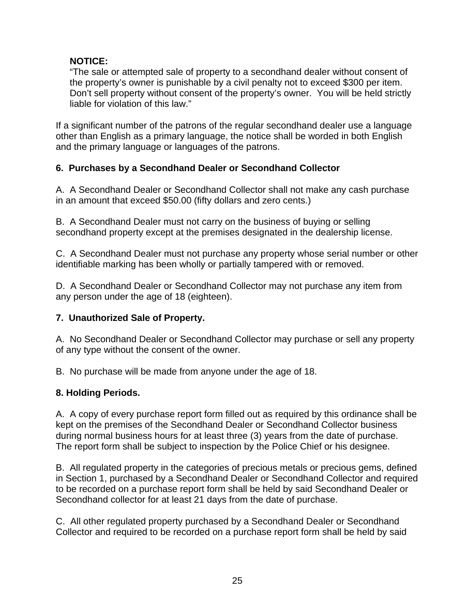# **NOTICE:**

"The sale or attempted sale of property to a secondhand dealer without consent of the property's owner is punishable by a civil penalty not to exceed \$300 per item. Don't sell property without consent of the property's owner. You will be held strictly liable for violation of this law."

If a significant number of the patrons of the regular secondhand dealer use a language other than English as a primary language, the notice shall be worded in both English and the primary language or languages of the patrons.

# **6. Purchases by a Secondhand Dealer or Secondhand Collector**

A. A Secondhand Dealer or Secondhand Collector shall not make any cash purchase in an amount that exceed \$50.00 (fifty dollars and zero cents.)

B. A Secondhand Dealer must not carry on the business of buying or selling secondhand property except at the premises designated in the dealership license.

C. A Secondhand Dealer must not purchase any property whose serial number or other identifiable marking has been wholly or partially tampered with or removed.

D. A Secondhand Dealer or Secondhand Collector may not purchase any item from any person under the age of 18 (eighteen).

# **7. Unauthorized Sale of Property.**

A. No Secondhand Dealer or Secondhand Collector may purchase or sell any property of any type without the consent of the owner.

B. No purchase will be made from anyone under the age of 18.

# **8. Holding Periods.**

A. A copy of every purchase report form filled out as required by this ordinance shall be kept on the premises of the Secondhand Dealer or Secondhand Collector business during normal business hours for at least three (3) years from the date of purchase. The report form shall be subject to inspection by the Police Chief or his designee.

B. All regulated property in the categories of precious metals or precious gems, defined in Section 1, purchased by a Secondhand Dealer or Secondhand Collector and required to be recorded on a purchase report form shall be held by said Secondhand Dealer or Secondhand collector for at least 21 days from the date of purchase.

C. All other regulated property purchased by a Secondhand Dealer or Secondhand Collector and required to be recorded on a purchase report form shall be held by said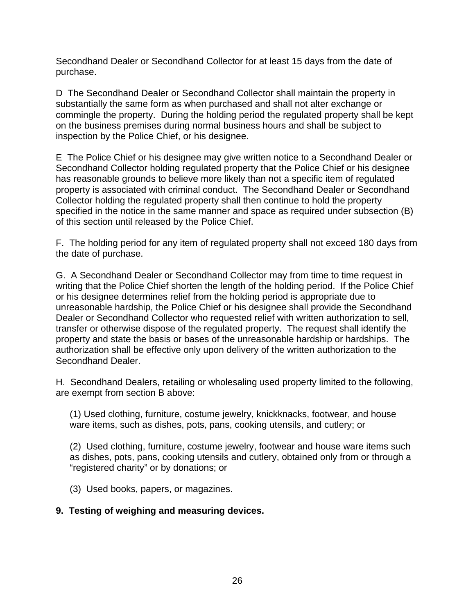Secondhand Dealer or Secondhand Collector for at least 15 days from the date of purchase.

D The Secondhand Dealer or Secondhand Collector shall maintain the property in substantially the same form as when purchased and shall not alter exchange or commingle the property. During the holding period the regulated property shall be kept on the business premises during normal business hours and shall be subject to inspection by the Police Chief, or his designee.

E The Police Chief or his designee may give written notice to a Secondhand Dealer or Secondhand Collector holding regulated property that the Police Chief or his designee has reasonable grounds to believe more likely than not a specific item of regulated property is associated with criminal conduct. The Secondhand Dealer or Secondhand Collector holding the regulated property shall then continue to hold the property specified in the notice in the same manner and space as required under subsection (B) of this section until released by the Police Chief.

F. The holding period for any item of regulated property shall not exceed 180 days from the date of purchase.

G. A Secondhand Dealer or Secondhand Collector may from time to time request in writing that the Police Chief shorten the length of the holding period. If the Police Chief or his designee determines relief from the holding period is appropriate due to unreasonable hardship, the Police Chief or his designee shall provide the Secondhand Dealer or Secondhand Collector who requested relief with written authorization to sell, transfer or otherwise dispose of the regulated property. The request shall identify the property and state the basis or bases of the unreasonable hardship or hardships. The authorization shall be effective only upon delivery of the written authorization to the Secondhand Dealer.

H. Secondhand Dealers, retailing or wholesaling used property limited to the following, are exempt from section B above:

(1) Used clothing, furniture, costume jewelry, knickknacks, footwear, and house ware items, such as dishes, pots, pans, cooking utensils, and cutlery; or

(2) Used clothing, furniture, costume jewelry, footwear and house ware items such as dishes, pots, pans, cooking utensils and cutlery, obtained only from or through a "registered charity" or by donations; or

(3) Used books, papers, or magazines.

# **9. Testing of weighing and measuring devices.**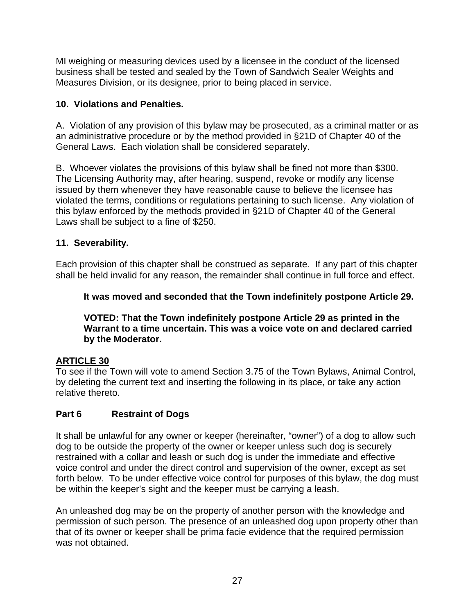MI weighing or measuring devices used by a licensee in the conduct of the licensed business shall be tested and sealed by the Town of Sandwich Sealer Weights and Measures Division, or its designee, prior to being placed in service.

# **10. Violations and Penalties.**

A. Violation of any provision of this bylaw may be prosecuted, as a criminal matter or as an administrative procedure or by the method provided in §21D of Chapter 40 of the General Laws. Each violation shall be considered separately.

B. Whoever violates the provisions of this bylaw shall be fined not more than \$300. The Licensing Authority may, after hearing, suspend, revoke or modify any license issued by them whenever they have reasonable cause to believe the licensee has violated the terms, conditions or regulations pertaining to such license. Any violation of this bylaw enforced by the methods provided in §21D of Chapter 40 of the General Laws shall be subject to a fine of \$250.

# **11. Severability.**

Each provision of this chapter shall be construed as separate. If any part of this chapter shall be held invalid for any reason, the remainder shall continue in full force and effect.

# **It was moved and seconded that the Town indefinitely postpone Article 29.**

### **VOTED: That the Town indefinitely postpone Article 29 as printed in the Warrant to a time uncertain. This was a voice vote on and declared carried by the Moderator.**

# **ARTICLE 30**

To see if the Town will vote to amend Section 3.75 of the Town Bylaws, Animal Control, by deleting the current text and inserting the following in its place, or take any action relative thereto.

# **Part 6 Restraint of Dogs**

It shall be unlawful for any owner or keeper (hereinafter, "owner") of a dog to allow such dog to be outside the property of the owner or keeper unless such dog is securely restrained with a collar and leash or such dog is under the immediate and effective voice control and under the direct control and supervision of the owner, except as set forth below. To be under effective voice control for purposes of this bylaw, the dog must be within the keeper's sight and the keeper must be carrying a leash.

An unleashed dog may be on the property of another person with the knowledge and permission of such person. The presence of an unleashed dog upon property other than that of its owner or keeper shall be prima facie evidence that the required permission was not obtained.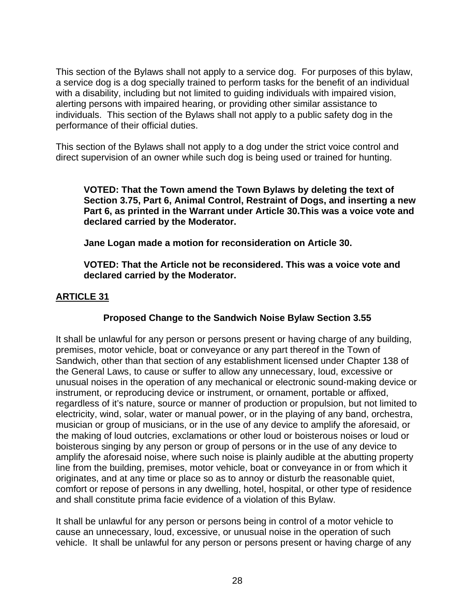This section of the Bylaws shall not apply to a service dog. For purposes of this bylaw, a service dog is a dog specially trained to perform tasks for the benefit of an individual with a disability, including but not limited to guiding individuals with impaired vision, alerting persons with impaired hearing, or providing other similar assistance to individuals. This section of the Bylaws shall not apply to a public safety dog in the performance of their official duties.

This section of the Bylaws shall not apply to a dog under the strict voice control and direct supervision of an owner while such dog is being used or trained for hunting.

**VOTED: That the Town amend the Town Bylaws by deleting the text of Section 3.75, Part 6, Animal Control, Restraint of Dogs, and inserting a new Part 6, as printed in the Warrant under Article 30.This was a voice vote and declared carried by the Moderator.** 

**Jane Logan made a motion for reconsideration on Article 30.** 

**VOTED: That the Article not be reconsidered. This was a voice vote and declared carried by the Moderator.** 

# **ARTICLE 31**

# **Proposed Change to the Sandwich Noise Bylaw Section 3.55**

It shall be unlawful for any person or persons present or having charge of any building, premises, motor vehicle, boat or conveyance or any part thereof in the Town of Sandwich, other than that section of any establishment licensed under Chapter 138 of the General Laws, to cause or suffer to allow any unnecessary, loud, excessive or unusual noises in the operation of any mechanical or electronic sound-making device or instrument, or reproducing device or instrument, or ornament, portable or affixed, regardless of it's nature, source or manner of production or propulsion, but not limited to electricity, wind, solar, water or manual power, or in the playing of any band, orchestra, musician or group of musicians, or in the use of any device to amplify the aforesaid, or the making of loud outcries, exclamations or other loud or boisterous noises or loud or boisterous singing by any person or group of persons or in the use of any device to amplify the aforesaid noise, where such noise is plainly audible at the abutting property line from the building, premises, motor vehicle, boat or conveyance in or from which it originates, and at any time or place so as to annoy or disturb the reasonable quiet, comfort or repose of persons in any dwelling, hotel, hospital, or other type of residence and shall constitute prima facie evidence of a violation of this Bylaw.

It shall be unlawful for any person or persons being in control of a motor vehicle to cause an unnecessary, loud, excessive, or unusual noise in the operation of such vehicle. It shall be unlawful for any person or persons present or having charge of any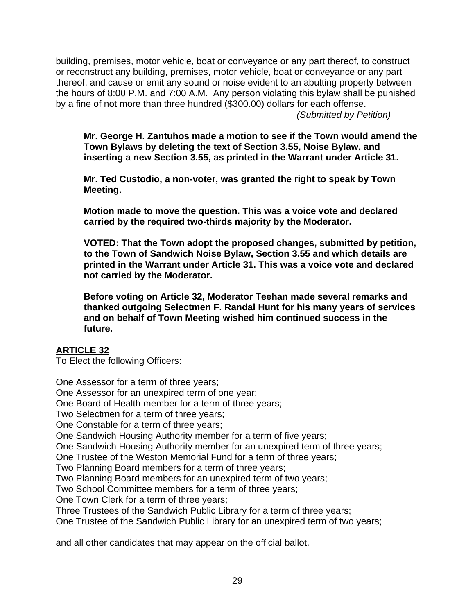building, premises, motor vehicle, boat or conveyance or any part thereof, to construct or reconstruct any building, premises, motor vehicle, boat or conveyance or any part thereof, and cause or emit any sound or noise evident to an abutting property between the hours of 8:00 P.M. and 7:00 A.M. Any person violating this bylaw shall be punished by a fine of not more than three hundred (\$300.00) dollars for each offense.

*(Submitted by Petition)* 

**Mr. George H. Zantuhos made a motion to see if the Town would amend the Town Bylaws by deleting the text of Section 3.55, Noise Bylaw, and inserting a new Section 3.55, as printed in the Warrant under Article 31.** 

**Mr. Ted Custodio, a non-voter, was granted the right to speak by Town Meeting.** 

**Motion made to move the question. This was a voice vote and declared carried by the required two-thirds majority by the Moderator.** 

**VOTED: That the Town adopt the proposed changes, submitted by petition, to the Town of Sandwich Noise Bylaw, Section 3.55 and which details are printed in the Warrant under Article 31. This was a voice vote and declared not carried by the Moderator.** 

**Before voting on Article 32, Moderator Teehan made several remarks and thanked outgoing Selectmen F. Randal Hunt for his many years of services and on behalf of Town Meeting wished him continued success in the future.** 

### **ARTICLE 32**

To Elect the following Officers:

One Assessor for a term of three years; One Assessor for an unexpired term of one year; One Board of Health member for a term of three years; Two Selectmen for a term of three years; One Constable for a term of three years; One Sandwich Housing Authority member for a term of five years; One Sandwich Housing Authority member for an unexpired term of three years; One Trustee of the Weston Memorial Fund for a term of three years; Two Planning Board members for a term of three years; Two Planning Board members for an unexpired term of two years; Two School Committee members for a term of three years; One Town Clerk for a term of three years; Three Trustees of the Sandwich Public Library for a term of three years; One Trustee of the Sandwich Public Library for an unexpired term of two years; and all other candidates that may appear on the official ballot,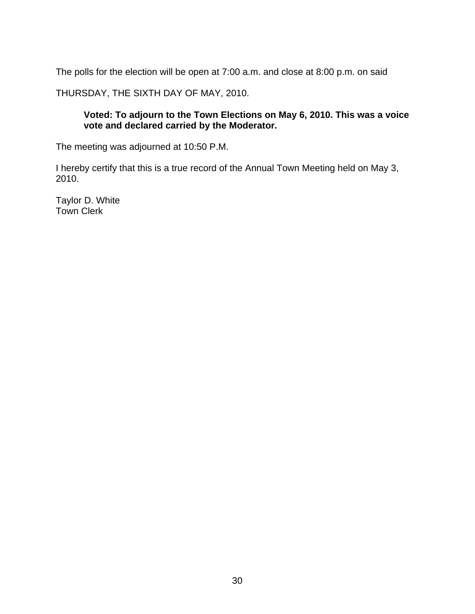The polls for the election will be open at 7:00 a.m. and close at 8:00 p.m. on said

THURSDAY, THE SIXTH DAY OF MAY, 2010.

### **Voted: To adjourn to the Town Elections on May 6, 2010. This was a voice vote and declared carried by the Moderator.**

The meeting was adjourned at 10:50 P.M.

I hereby certify that this is a true record of the Annual Town Meeting held on May 3, 2010.

Taylor D. White Town Clerk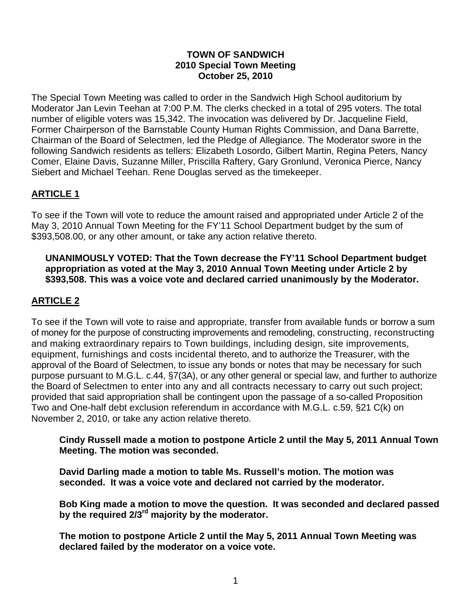#### **TOWN OF SANDWICH 2010 Special Town Meeting October 25, 2010**

The Special Town Meeting was called to order in the Sandwich High School auditorium by Moderator Jan Levin Teehan at 7:00 P.M. The clerks checked in a total of 295 voters. The total number of eligible voters was 15,342. The invocation was delivered by Dr. Jacqueline Field, Former Chairperson of the Barnstable County Human Rights Commission, and Dana Barrette, Chairman of the Board of Selectmen, led the Pledge of Allegiance. The Moderator swore in the following Sandwich residents as tellers: Elizabeth Losordo, Gilbert Martin, Regina Peters, Nancy Comer, Elaine Davis, Suzanne Miller, Priscilla Raftery, Gary Gronlund, Veronica Pierce, Nancy Siebert and Michael Teehan. Rene Douglas served as the timekeeper.

# **ARTICLE 1**

To see if the Town will vote to reduce the amount raised and appropriated under Article 2 of the May 3, 2010 Annual Town Meeting for the FY'11 School Department budget by the sum of \$393,508.00, or any other amount, or take any action relative thereto.

#### **UNANIMOUSLY VOTED: That the Town decrease the FY'11 School Department budget appropriation as voted at the May 3, 2010 Annual Town Meeting under Article 2 by \$393,508. This was a voice vote and declared carried unanimously by the Moderator.**

# **ARTICLE 2**

To see if the Town will vote to raise and appropriate, transfer from available funds or borrow a sum of money for the purpose of constructing improvements and remodeling, constructing, reconstructing and making extraordinary repairs to Town buildings, including design, site improvements, equipment, furnishings and costs incidental thereto, and to authorize the Treasurer, with the approval of the Board of Selectmen, to issue any bonds or notes that may be necessary for such purpose pursuant to M.G.L. c.44, §7(3A), or any other general or special law, and further to authorize the Board of Selectmen to enter into any and all contracts necessary to carry out such project; provided that said appropriation shall be contingent upon the passage of a so-called Proposition Two and One-half debt exclusion referendum in accordance with M.G.L. c.59, §21 C(k) on November 2, 2010, or take any action relative thereto.

**Cindy Russell made a motion to postpone Article 2 until the May 5, 2011 Annual Town Meeting. The motion was seconded.** 

**David Darling made a motion to table Ms. Russell's motion. The motion was seconded. It was a voice vote and declared not carried by the moderator.** 

**Bob King made a motion to move the question. It was seconded and declared passed by the required 2/3rd majority by the moderator.** 

**The motion to postpone Article 2 until the May 5, 2011 Annual Town Meeting was declared failed by the moderator on a voice vote.**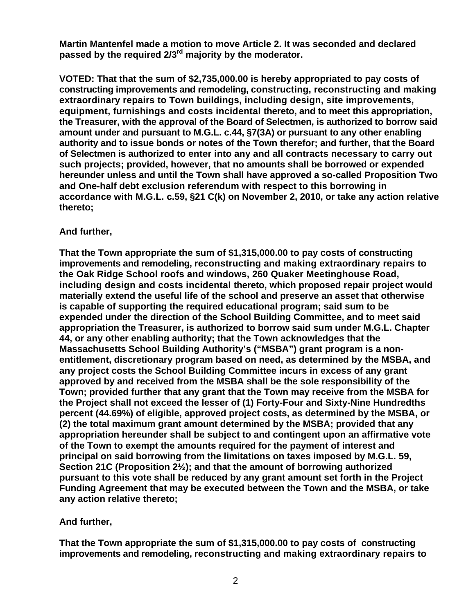**Martin Mantenfel made a motion to move Article 2. It was seconded and declared passed by the required 2/3rd majority by the moderator.** 

**VOTED: That that the sum of \$2,735,000.00 is hereby appropriated to pay costs of constructing improvements and remodeling, constructing, reconstructing and making extraordinary repairs to Town buildings, including design, site improvements, equipment, furnishings and costs incidental thereto, and to meet this appropriation, the Treasurer, with the approval of the Board of Selectmen, is authorized to borrow said amount under and pursuant to M.G.L. c.44, §7(3A) or pursuant to any other enabling authority and to issue bonds or notes of the Town therefor; and further, that the Board of Selectmen is authorized to enter into any and all contracts necessary to carry out such projects; provided, however, that no amounts shall be borrowed or expended hereunder unless and until the Town shall have approved a so-called Proposition Two and One-half debt exclusion referendum with respect to this borrowing in accordance with M.G.L. c.59, §21 C(k) on November 2, 2010, or take any action relative thereto;** 

#### **And further,**

 **That the Town appropriate the sum of \$1,315,000.00 to pay costs of constructing improvements and remodeling, reconstructing and making extraordinary repairs to the Oak Ridge School roofs and windows, 260 Quaker Meetinghouse Road, including design and costs incidental thereto, which proposed repair project would materially extend the useful life of the school and preserve an asset that otherwise is capable of supporting the required educational program; said sum to be expended under the direction of the School Building Committee, and to meet said appropriation the Treasurer, is authorized to borrow said sum under M.G.L. Chapter 44, or any other enabling authority; that the Town acknowledges that the Massachusetts School Building Authority's ("MSBA") grant program is a nonentitlement, discretionary program based on need, as determined by the MSBA, and any project costs the School Building Committee incurs in excess of any grant approved by and received from the MSBA shall be the sole responsibility of the Town; provided further that any grant that the Town may receive from the MSBA for the Project shall not exceed the lesser of (1) Forty-Four and Sixty-Nine Hundredths percent (44.69%) of eligible, approved project costs, as determined by the MSBA, or (2) the total maximum grant amount determined by the MSBA; provided that any appropriation hereunder shall be subject to and contingent upon an affirmative vote of the Town to exempt the amounts required for the payment of interest and principal on said borrowing from the limitations on taxes imposed by M.G.L. 59, Section 21C (Proposition 2½); and that the amount of borrowing authorized pursuant to this vote shall be reduced by any grant amount set forth in the Project Funding Agreement that may be executed between the Town and the MSBA, or take any action relative thereto;** 

# **And further,**

**That the Town appropriate the sum of \$1,315,000.00 to pay costs of constructing improvements and remodeling, reconstructing and making extraordinary repairs to**